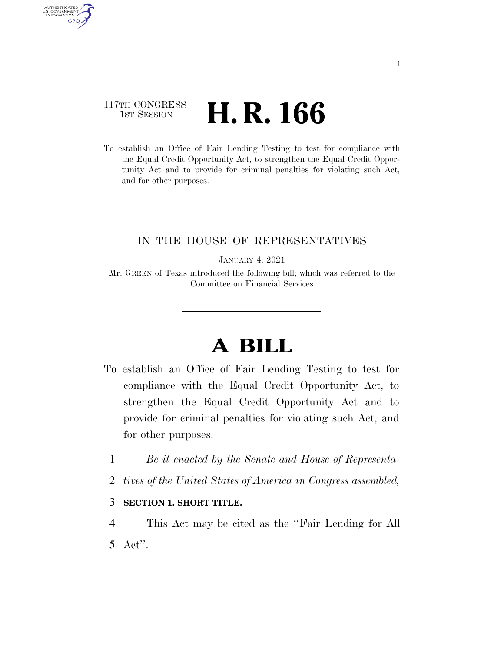## 117TH CONGRESS <sup>TH CONGRESS</sup> **H. R. 166**

AUTHENTICATED<br>U.S. GOVERNMENT<br>INFORMATION

**GPO** 

To establish an Office of Fair Lending Testing to test for compliance with the Equal Credit Opportunity Act, to strengthen the Equal Credit Opportunity Act and to provide for criminal penalties for violating such Act, and for other purposes.

### IN THE HOUSE OF REPRESENTATIVES

JANUARY 4, 2021

Mr. GREEN of Texas introduced the following bill; which was referred to the Committee on Financial Services

# **A BILL**

- To establish an Office of Fair Lending Testing to test for compliance with the Equal Credit Opportunity Act, to strengthen the Equal Credit Opportunity Act and to provide for criminal penalties for violating such Act, and for other purposes.
	- 1 *Be it enacted by the Senate and House of Representa-*
	- 2 *tives of the United States of America in Congress assembled,*

#### 3 **SECTION 1. SHORT TITLE.**

4 This Act may be cited as the ''Fair Lending for All 5 Act''.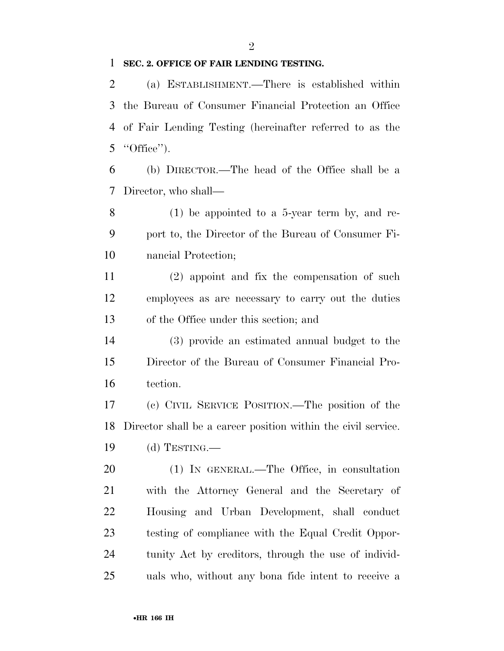#### **SEC. 2. OFFICE OF FAIR LENDING TESTING.**

 (a) ESTABLISHMENT.—There is established within the Bureau of Consumer Financial Protection an Office of Fair Lending Testing (hereinafter referred to as the "Office").

 (b) DIRECTOR.—The head of the Office shall be a Director, who shall—

 (1) be appointed to a 5-year term by, and re- port to, the Director of the Bureau of Consumer Fi-nancial Protection;

 (2) appoint and fix the compensation of such employees as are necessary to carry out the duties of the Office under this section; and

 (3) provide an estimated annual budget to the Director of the Bureau of Consumer Financial Pro-tection.

 (c) CIVIL SERVICE POSITION.—The position of the Director shall be a career position within the civil service. (d) TESTING.—

 (1) IN GENERAL.—The Office, in consultation with the Attorney General and the Secretary of Housing and Urban Development, shall conduct testing of compliance with the Equal Credit Oppor- tunity Act by creditors, through the use of individ-uals who, without any bona fide intent to receive a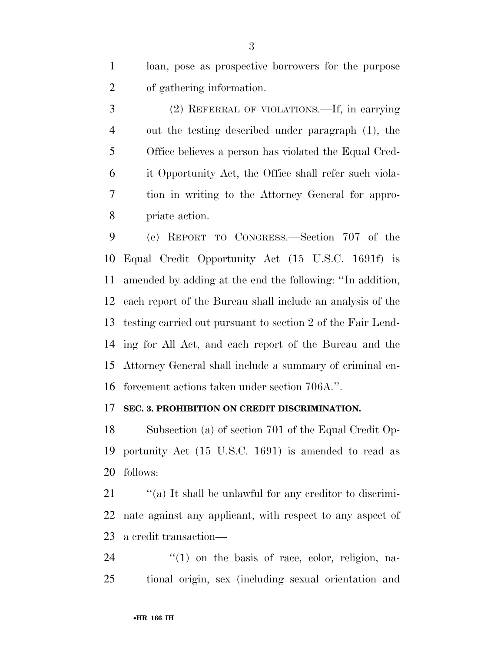loan, pose as prospective borrowers for the purpose of gathering information.

 (2) REFERRAL OF VIOLATIONS.—If, in carrying out the testing described under paragraph (1), the Office believes a person has violated the Equal Cred- it Opportunity Act, the Office shall refer such viola- tion in writing to the Attorney General for appro-priate action.

 (e) REPORT TO CONGRESS.—Section 707 of the Equal Credit Opportunity Act (15 U.S.C. 1691f) is amended by adding at the end the following: ''In addition, each report of the Bureau shall include an analysis of the testing carried out pursuant to section 2 of the Fair Lend- ing for All Act, and each report of the Bureau and the Attorney General shall include a summary of criminal en-forcement actions taken under section 706A.''.

#### **SEC. 3. PROHIBITION ON CREDIT DISCRIMINATION.**

 Subsection (a) of section 701 of the Equal Credit Op- portunity Act (15 U.S.C. 1691) is amended to read as follows:

21  $\cdot$  "(a) It shall be unlawful for any creditor to discrimi- nate against any applicant, with respect to any aspect of a credit transaction—

 ''(1) on the basis of race, color, religion, na-tional origin, sex (including sexual orientation and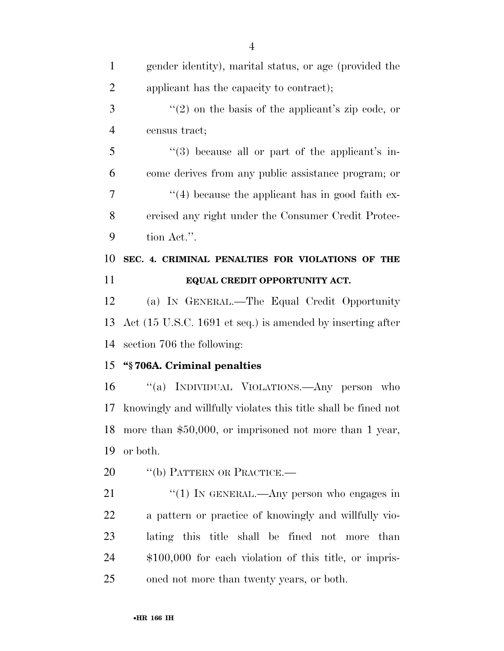| $\mathbf{1}$   | gender identity), marital status, or age (provided the          |
|----------------|-----------------------------------------------------------------|
| $\overline{2}$ | applicant has the capacity to contract);                        |
| 3              | $\lq(2)$ on the basis of the applicant's zip code, or           |
| $\overline{4}$ | census tract;                                                   |
| 5              | $\cdot\cdot\cdot(3)$ because all or part of the applicant's in- |
| 6              | come derives from any public assistance program; or             |
| 7              | $\lq(4)$ because the applicant has in good faith ex-            |
| 8              | ercised any right under the Consumer Credit Protec-             |
| 9              | tion Act.".                                                     |
| 10             | SEC. 4. CRIMINAL PENALTIES FOR VIOLATIONS OF THE                |
| 11             | EQUAL CREDIT OPPORTUNITY ACT.                                   |
| 12             | (a) IN GENERAL.—The Equal Credit Opportunity                    |
| 13             | Act (15 U.S.C. 1691 et seq.) is amended by inserting after      |
|                |                                                                 |
| 14             | section 706 the following:                                      |
| 15             | "§706A. Criminal penalties                                      |
| 16             | "(a) INDIVIDUAL VIOLATIONS.—Any person who                      |
| 17             | knowingly and willfully violates this title shall be fined not  |
| 18             | more than \$50,000, or imprisoned not more than 1 year,         |
| 19             | or both.                                                        |
| 20             | "(b) PATTERN OR PRACTICE.—                                      |
| 21             | "(1) IN GENERAL.—Any person who engages in                      |
| 22             | a pattern or practice of knowingly and willfully vio-           |
| 23             | lating this title shall be fined not more than                  |
| 24             | $$100,000$ for each violation of this title, or impris-         |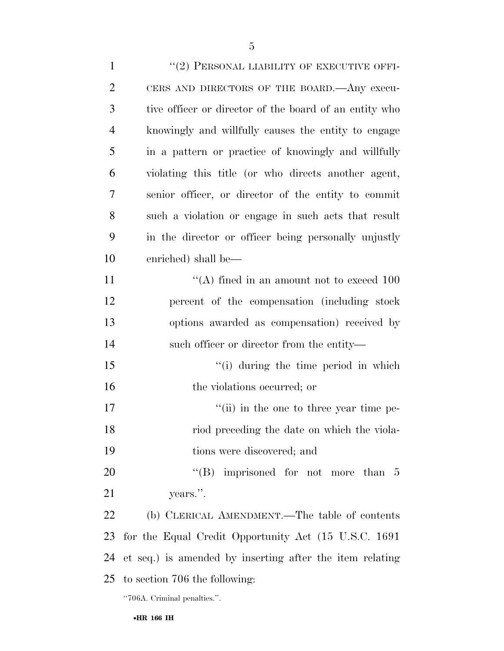| $\mathbf{1}$   | "(2) PERSONAL LIABILITY OF EXECUTIVE OFFI-             |
|----------------|--------------------------------------------------------|
| $\overline{2}$ | CERS AND DIRECTORS OF THE BOARD. Any execu-            |
| 3              | tive officer or director of the board of an entity who |
| 4              | knowingly and willfully causes the entity to engage    |
| 5              | in a pattern or practice of knowingly and willfully    |
| 6              | violating this title (or who directs another agent,    |

 knowingly and willfully causes the entity to engage in a pattern or practice of knowingly and willfully violating this title (or who directs another agent, senior officer, or director of the entity to commit such a violation or engage in such acts that result in the director or officer being personally unjustly enriched) shall be—

 $((A)$  fined in an amount not to exceed 100 percent of the compensation (including stock options awarded as compensation) received by such officer or director from the entity—

15 ''(i) during the time period in which 16 the violations occurred; or

17  $''(ii)$  in the one to three year time pe- riod preceding the date on which the viola-tions were discovered; and

20 "'(B) imprisoned for not more than 5 years.''.

 (b) CLERICAL AMENDMENT.—The table of contents for the Equal Credit Opportunity Act (15 U.S.C. 1691 et seq.) is amended by inserting after the item relating to section 706 the following:

''706A. Criminal penalties.''.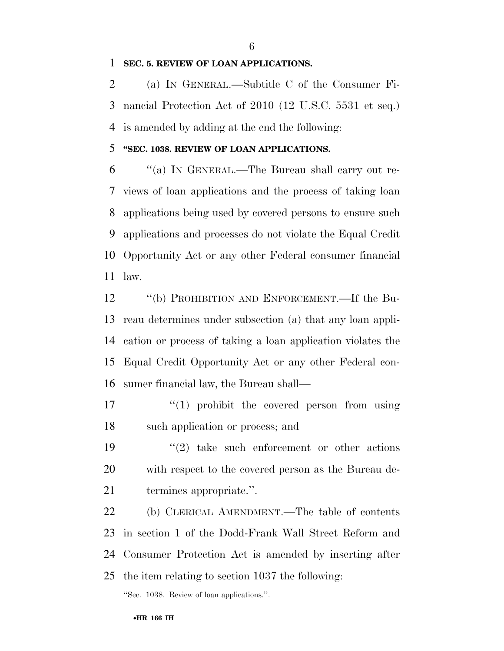#### **SEC. 5. REVIEW OF LOAN APPLICATIONS.**

 (a) IN GENERAL.—Subtitle C of the Consumer Fi- nancial Protection Act of 2010 (12 U.S.C. 5531 et seq.) is amended by adding at the end the following:

#### **''SEC. 1038. REVIEW OF LOAN APPLICATIONS.**

 ''(a) IN GENERAL.—The Bureau shall carry out re- views of loan applications and the process of taking loan applications being used by covered persons to ensure such applications and processes do not violate the Equal Credit Opportunity Act or any other Federal consumer financial law.

 ''(b) PROHIBITION AND ENFORCEMENT.—If the Bu- reau determines under subsection (a) that any loan appli- cation or process of taking a loan application violates the Equal Credit Opportunity Act or any other Federal con-sumer financial law, the Bureau shall—

- $\frac{17}{2}$  ''(1) prohibit the covered person from using such application or process; and
- 19  $(2)$  take such enforcement or other actions with respect to the covered person as the Bureau de-termines appropriate.''.

 (b) CLERICAL AMENDMENT.—The table of contents in section 1 of the Dodd-Frank Wall Street Reform and Consumer Protection Act is amended by inserting after the item relating to section 1037 the following:

''Sec. 1038. Review of loan applications.''.